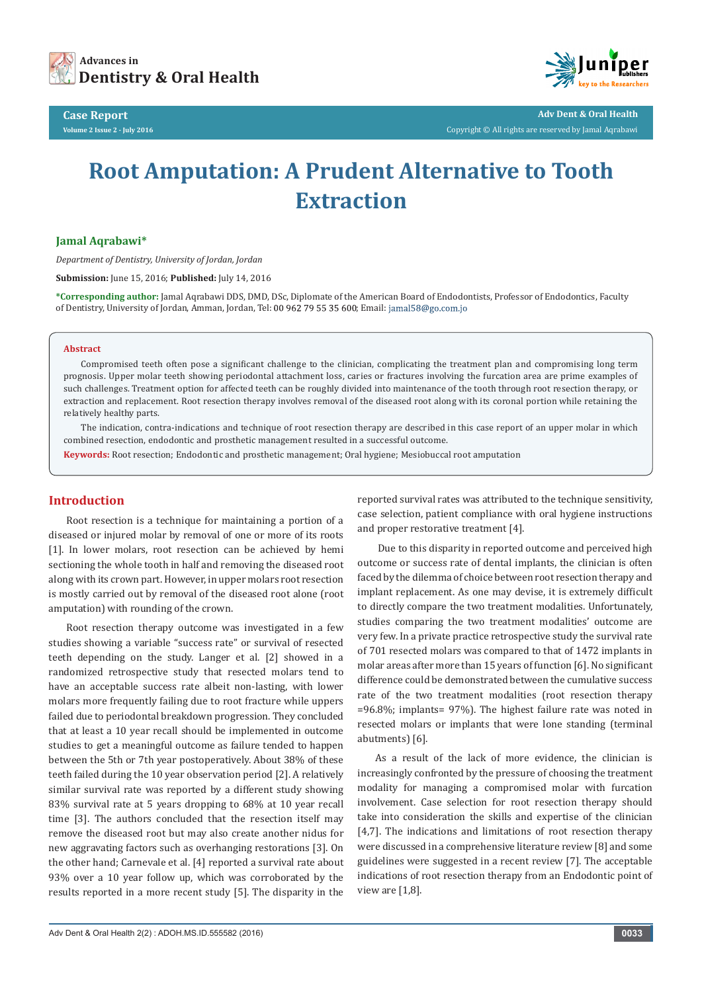



**Adv Dent & Oral Health**  Copyright © All rights are reserved by Jamal Aqrabawi

# **Root Amputation: A Prudent Alternative to Tooth Extraction**

## **Jamal Aqrabawi\***

*Department of Dentistry, University of Jordan, Jordan*

**Submission:** June 15, 2016; **Published:** July 14, 2016

**\*Corresponding author:** Jamal Aqrabawi DDS, DMD, DSc, Diplomate of the American Board of Endodontists, Professor of Endodontics, Faculty of Dentistry, University of Jordan, Amman, Jordan, Tel: 00 962 79 55 35 600; Email: jamal58@go.com.jo

#### **Abstract**

Compromised teeth often pose a significant challenge to the clinician, complicating the treatment plan and compromising long term prognosis. Upper molar teeth showing periodontal attachment loss, caries or fractures involving the furcation area are prime examples of such challenges. Treatment option for affected teeth can be roughly divided into maintenance of the tooth through root resection therapy, or extraction and replacement. Root resection therapy involves removal of the diseased root along with its coronal portion while retaining the relatively healthy parts.

The indication, contra-indications and technique of root resection therapy are described in this case report of an upper molar in which combined resection, endodontic and prosthetic management resulted in a successful outcome.

**Keywords:** Root resection; Endodontic and prosthetic management; Oral hygiene; Mesiobuccal root amputation

## **Introduction**

Root resection is a technique for maintaining a portion of a diseased or injured molar by removal of one or more of its roots [1]. In lower molars, root resection can be achieved by hemi sectioning the whole tooth in half and removing the diseased root along with its crown part. However, in upper molars root resection is mostly carried out by removal of the diseased root alone (root amputation) with rounding of the crown.

Root resection therapy outcome was investigated in a few studies showing a variable "success rate" or survival of resected teeth depending on the study. Langer et al. [2] showed in a randomized retrospective study that resected molars tend to have an acceptable success rate albeit non-lasting, with lower molars more frequently failing due to root fracture while uppers failed due to periodontal breakdown progression. They concluded that at least a 10 year recall should be implemented in outcome studies to get a meaningful outcome as failure tended to happen between the 5th or 7th year postoperatively. About 38% of these teeth failed during the 10 year observation period [2]. A relatively similar survival rate was reported by a different study showing 83% survival rate at 5 years dropping to 68% at 10 year recall time [3]. The authors concluded that the resection itself may remove the diseased root but may also create another nidus for new aggravating factors such as overhanging restorations [3]. On the other hand; Carnevale et al. [4] reported a survival rate about 93% over a 10 year follow up, which was corroborated by the results reported in a more recent study [5]. The disparity in the

reported survival rates was attributed to the technique sensitivity, case selection, patient compliance with oral hygiene instructions and proper restorative treatment [4].

 Due to this disparity in reported outcome and perceived high outcome or success rate of dental implants, the clinician is often faced by the dilemma of choice between root resection therapy and implant replacement. As one may devise, it is extremely difficult to directly compare the two treatment modalities. Unfortunately, studies comparing the two treatment modalities' outcome are very few. In a private practice retrospective study the survival rate of 701 resected molars was compared to that of 1472 implants in molar areas after more than 15 years of function [6]. No significant difference could be demonstrated between the cumulative success rate of the two treatment modalities (root resection therapy =96.8%; implants= 97%). The highest failure rate was noted in resected molars or implants that were lone standing (terminal abutments) [6].

As a result of the lack of more evidence, the clinician is increasingly confronted by the pressure of choosing the treatment modality for managing a compromised molar with furcation involvement. Case selection for root resection therapy should take into consideration the skills and expertise of the clinician [4,7]. The indications and limitations of root resection therapy were discussed in a comprehensive literature review [8] and some guidelines were suggested in a recent review [7]. The acceptable indications of root resection therapy from an Endodontic point of view are [1,8].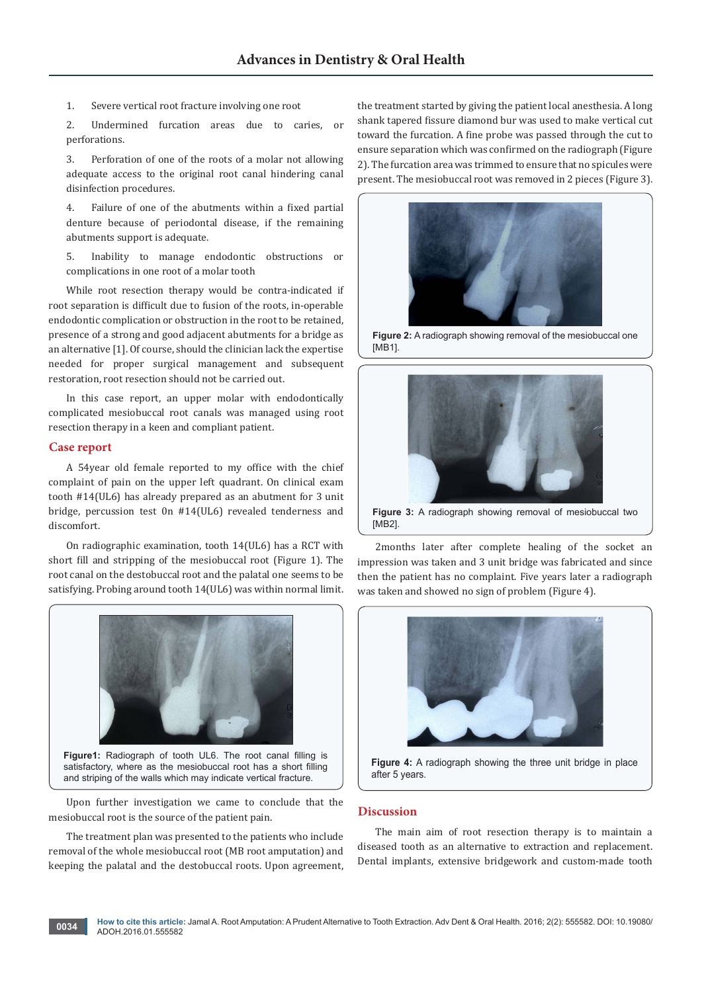1. Severe vertical root fracture involving one root

2. Undermined furcation areas due to caries, or perforations.

3. Perforation of one of the roots of a molar not allowing adequate access to the original root canal hindering canal disinfection procedures.

4. Failure of one of the abutments within a fixed partial denture because of periodontal disease, if the remaining abutments support is adequate.

5. Inability to manage endodontic obstructions or complications in one root of a molar tooth

While root resection therapy would be contra-indicated if root separation is difficult due to fusion of the roots, in-operable endodontic complication or obstruction in the root to be retained, presence of a strong and good adjacent abutments for a bridge as an alternative [1]. Of course, should the clinician lack the expertise needed for proper surgical management and subsequent restoration, root resection should not be carried out.

In this case report, an upper molar with endodontically complicated mesiobuccal root canals was managed using root resection therapy in a keen and compliant patient.

## **Case report**

A 54year old female reported to my office with the chief complaint of pain on the upper left quadrant. On clinical exam tooth #14(UL6) has already prepared as an abutment for 3 unit bridge, percussion test 0n #14(UL6) revealed tenderness and discomfort.

On radiographic examination, tooth 14(UL6) has a RCT with short fill and stripping of the mesiobuccal root (Figure 1). The root canal on the destobuccal root and the palatal one seems to be satisfying. Probing around tooth 14(UL6) was within normal limit.



**Figure1:** Radiograph of tooth UL6. The root canal filling is satisfactory, where as the mesiobuccal root has a short filling and striping of the walls which may indicate vertical fracture.

Upon further investigation we came to conclude that the mesiobuccal root is the source of the patient pain.

The treatment plan was presented to the patients who include removal of the whole mesiobuccal root (MB root amputation) and keeping the palatal and the destobuccal roots. Upon agreement,

the treatment started by giving the patient local anesthesia. A long shank tapered fissure diamond bur was used to make vertical cut toward the furcation. A fine probe was passed through the cut to ensure separation which was confirmed on the radiograph (Figure 2). The furcation area was trimmed to ensure that no spicules were present. The mesiobuccal root was removed in 2 pieces (Figure 3).



**Figure 2:** A radiograph showing removal of the mesiobuccal one [MB1].



**Figure 3:** A radiograph showing removal of mesiobuccal two [MB2].

2months later after complete healing of the socket an impression was taken and 3 unit bridge was fabricated and since then the patient has no complaint. Five years later a radiograph was taken and showed no sign of problem (Figure 4).



**Figure 4:** A radiograph showing the three unit bridge in place after 5 years.

## **Discussion**

The main aim of root resection therapy is to maintain a diseased tooth as an alternative to extraction and replacement. Dental implants, extensive bridgework and custom-made tooth